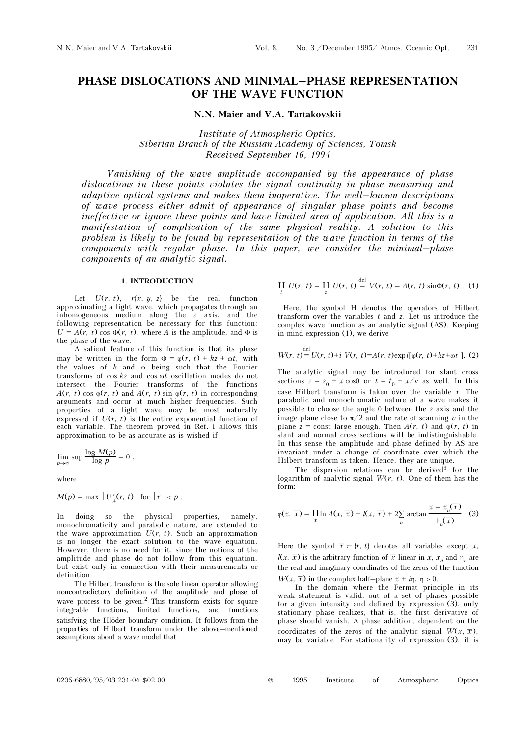# PHASE DISLOCATIONS AND MINIMAL–PHASE REPRESENTATION OF THE WAVE FUNCTION

N.N. Maier and V.A. Tartakovskii

Institute of Atmospheric Optics, Siberian Branch of the Russian Academy of Sciences, Tomsk Received September 16, 1994

Vanishing of the wave amplitude accompanied by the appearance of phase dislocations in these points violates the signal continuity in phase measuring and adaptive optical systems and makes them inoperative. The well–known descriptions of wave process either admit of appearance of singular phase points and become ineffective or ignore these points and have limited area of application. All this is a manifestation of complication of the same physical reality. A solution to this problem is likely to be found by representation of the wave function in terms of the components with regular phase. In this paper, we consider the minimal–phase components of an analytic signal.

def

## 1. INTRODUCTION

Let  $U(r, t)$ ,  $r\{x, y, z\}$  be the real function approximating a light wave, which propagates through an inhomogeneous medium along the z axis, and the following representation be necessary for this function:  $U = A(r, t) \cos \Phi(r, t)$ , where A is the amplitude, and  $\Phi$  is the phase of the wave.

A salient feature of this function is that its phase may be written in the form  $\Phi = \varphi(r, t) + kz + \omega t$ , with the values of  $k$  and  $\omega$  being such that the Fourier transforms of cos kz and cos ωt oscillation modes do not intersect the Fourier transforms of the functions  $A(r, t)$  cos  $\varphi(r, t)$  and  $A(r, t)$  sin  $\varphi(r, t)$  in corresponding arguments and occur at much higher frequencies. Such properties of a light wave may be most naturally expressed if  $U(r, t)$  is the entire exponential function of each variable. The theorem proved in Ref. 1 allows this approximation to be as accurate as is wished if

$$
\lim_{p \to \infty} \sup \frac{\log M(p)}{\log p} = 0,
$$

where

$$
M(p) = \max |U'_x(r, t)| \text{ for } |x| < p.
$$

In doing so the physical properties, namely, monochromaticity and parabolic nature, are extended to the wave approximation  $U(r, t)$ . Such an approximation is no longer the exact solution to the wave equation. However, there is no need for it, since the notions of the amplitude and phase do not follow from this equation, but exist only in connection with their measurements or definition.

The Hilbert transform is the sole linear operator allowing noncontradictory definition of the amplitude and phase of wave process to be given.<sup>2</sup> This transform exists for square integrable functions, limited functions, and functions satisfying the Hloder boundary condition. It follows from the properties of Hilbert transform under the above–mentioned assumptions about a wave model that

$$
\frac{H}{t} U(r, t) = \frac{H}{z} U(r, t) = V(r, t) = A(r, t) \sin \Phi(r, t) .
$$
 (1)

def

Here, the symbol H denotes the operators of Hilbert transform over the variables  $t$  and  $z$ . Let us introduce the complex wave function as an analytic signal (AS). Keeping in mind expression (1), we derive

$$
W(r, t) = U(r, t) + i V(r, t) = A(r, t) \exp i[\varphi(r, t) + kz + \omega t]
$$
. (2)

The analytic signal may be introduced for slant cross sections  $z = z_0 + x \cos\theta$  or  $t = t_0 + x/v$  as well. In this case Hilbert transform is taken over the variable  $x$ . The parabolic and monochromatic nature of a wave makes it possible to choose the angle  $\theta$  between the z axis and the image plane close to  $\pi/2$  and the rate of scanning v in the plane  $z =$  const large enough. Then  $A(r, t)$  and  $\varphi(r, t)$  in slant and normal cross sections will be indistinguishable. In this sense the amplitude and phase defined by AS are invariant under a change of coordinate over which the Hilbert transform is taken. Hence, they are unique.

The dispersion relations can be derived $3$  for the logarithm of analytic signal  $W(r, t)$ . One of them has the form:

$$
\varphi(x,\overline{x}) = \lim_{x} A(x,\overline{x}) + l(x,\overline{x}) + 2\sum_{n} \arctan \frac{x - x_n(\overline{x})}{h_n(\overline{x})} .
$$
 (3)

Here the symbol  $\bar{x} \subset \{r, t\}$  denotes all variables except x,  $l(x, \overline{x})$  is the arbitrary function of  $\overline{x}$  linear in x, x<sub>n</sub> and  $\eta_n$  are the real and imaginary coordinates of the zeros of the function  $W(x, \overline{x})$  in the complex half–plane  $x + i\eta$ ,  $\eta > 0$ .

In the domain where the Fermat principle in its weak statement is valid, out of a set of phases possible for a given intensity and defined by expression (3), only stationary phase realizes, that is, the first derivative of phase should vanish. A phase addition, dependent on the coordinates of the zeros of the analytic signal  $W(x, \overline{x})$ , may be variable. For stationarity of expression (3), it is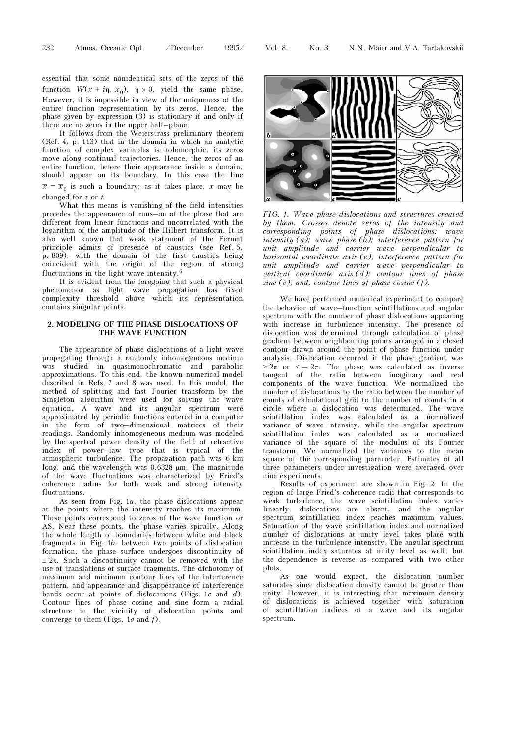essential that some nonidentical sets of the zeros of the function  $W(x + i\eta, \overline{x}_0)$ ,  $\eta > 0$ , yield the same phase. However, it is impossible in view of the uniqueness of the entire function representation by its zeros. Hence, the phase given by expression (3) is stationary if and only if there are no zeros in the upper half–plane.

It follows from the Weierstrass preliminary theorem (Ref. 4, p. 113) that in the domain in which an analytic function of complex variables is holomorphic, its zeros move along continual trajectories. Hence, the zeros of an entire function, before their appearance inside a domain, should appear on its boundary. In this case the line  $\overline{x} = \overline{x}_0$  is such a boundary; as it takes place, x may be changed for z or t.

What this means is vanishing of the field intensities precedes the appearance of runs–on of the phase that are different from linear functions and uncorrelated with the logarithm of the amplitude of the Hilbert transform. It is also well known that weak statement of the Fermat principle admits of presence of caustics (see Ref. 5, p. 809), with the domain of the first caustics being coincident with the origin of the region of strong fluctuations in the light wave intensity.<sup>6</sup>

It is evident from the foregoing that such a physical phenomenon as light wave propagation has fixed complexity threshold above which its representation contains singular points.

## 2. MODELING OF THE PHASE DISLOCATIONS OF THE WAVE FUNCTION

The appearance of phase dislocations of a light wave propagating through a randomly inhomogeneous medium was studied in quasimonochromatic and parabolic approximations. To this end, the known numerical model described in Refs. 7 and 8 was used. In this model, the method of splitting and fast Fourier transform by the Singleton algorithm were used for solving the wave equation. A wave and its angular spectrum were approximated by periodic functions entered in a computer in the form of two–dimensional matrices of their readings. Randomly inhomogeneous medium was modeled by the spectral power density of the field of refractive index of power–law type that is typical of the atmospheric turbulence. The propagation path was 6 km long, and the wavelength was 0.6328 μm. The magnitude of the wave fluctuations was characterized by Fried's coherence radius for both weak and strong intensity fluctuations.

As seen from Fig. 1a, the phase dislocations appear at the points where the intensity reaches its maximum. These points correspond to zeros of the wave function or AS. Near these points, the phase varies spirally. Along the whole length of boundaries between white and black fragments in Fig. 1b, between two points of dislocation formation, the phase surface undergoes discontinuity of  $\pm 2\pi$ . Such a discontinuity cannot be removed with the use of translations of surface fragments. The dichotomy of maximum and minimum contour lines of the interference pattern, and appearance and disappearance of interference bands occur at points of dislocations (Figs. 1c and  $d$ ). Contour lines of phase cosine and sine form a radial structure in the vicinity of dislocation points and converge to them (Figs.  $1e$  and  $f$ ).



FIG. 1. Wave phase dislocations and structures created by them. Crosses denote zeros of the intensity and corresponding points of phase dislocations: wave intensity (a); wave phase (b); interference pattern for unit amplitude and carrier wave perpendicular to horizontal coordinate axis (c); interference pattern for unit amplitude and carrier wave perpendicular to vertical coordinate axis (d); contour lines of phase sine (e); and, contour lines of phase cosine  $(f)$ .

We have performed numerical experiment to compare the behavior of wave–function scintillations and angular spectrum with the number of phase dislocations appearing with increase in turbulence intensity. The presence of dislocation was determined through calculation of phase gradient between neighbouring points arranged in a closed contour drawn around the point of phase function under analysis. Dislocation occurred if the phase gradient was  $\geq 2\pi$  or  $\leq -2\pi$ . The phase was calculated as inverse tangent of the ratio between imaginary and real components of the wave function. We normalized the number of dislocations to the ratio between the number of counts of calculational grid to the number of counts in a circle where a dislocation was determined. The wave scintillation index was calculated as a normalized variance of wave intensity, while the angular spectrum scintillation index was calculated as a normalized variance of the square of the modulus of its Fourier transform. We normalized the variances to the mean square of the corresponding parameter. Estimates of all three parameters under investigation were averaged over nine experiments.

Results of experiment are shown in Fig. 2. In the region of large Fried's coherence radii that corresponds to weak turbulence, the wave scintillation index varies linearly, dislocations are absent, and the angular spectrum scintillation index reaches maximum values. Saturation of the wave scintillation index and normalized number of dislocations at unity level takes place with increase in the turbulence intensity. The angular spectrum scintillation index saturates at unity level as well, but the dependence is reverse as compared with two other plots.

As one would expect, the dislocation number saturates since dislocation density cannot be greater than unity. However, it is interesting that maximum density of dislocations is achieved together with saturation of scintillation indices of a wave and its angular spectrum.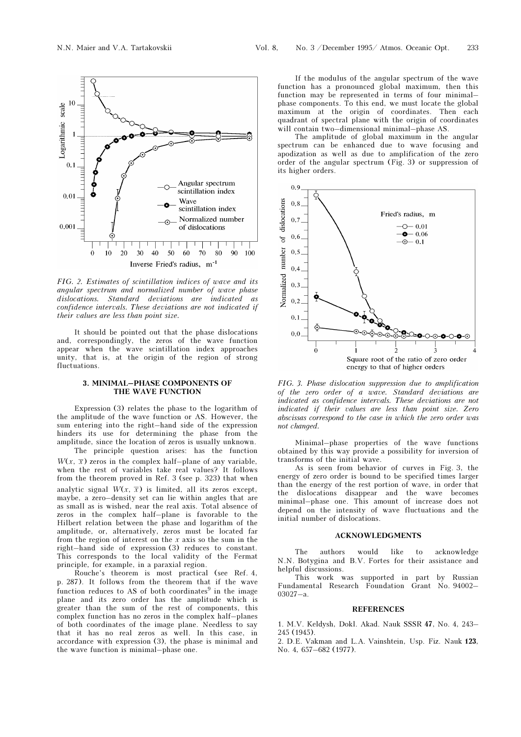

FIG. 2. Estimates of scintillation indices of wave and its angular spectrum and normalized number of wave phase dislocations. Standard deviations are indicated as confidence intervals. These deviations are not indicated if their values are less than point size.

It should be pointed out that the phase dislocations and, correspondingly, the zeros of the wave function appear when the wave scintillation index approaches unity, that is, at the origin of the region of strong fluctuations.

## 3. MINIMAL–PHASE COMPONENTS OF THE WAVE FUNCTION

Expression (3) relates the phase to the logarithm of the amplitude of the wave function or AS. However, the sum entering into the right–hand side of the expression hinders its use for determining the phase from the amplitude, since the location of zeros is usually unknown.

The principle question arises: has the function  $W(x, \overline{x})$  zeros in the complex half–plane of any variable, when the rest of variables take real values? It follows from the theorem proved in Ref. 3 (see p. 323) that when analytic signal  $W(x, \overline{x})$  is limited, all its zeros except, maybe, a zero–density set can lie within angles that are as small as is wished, near the real axis. Total absence of zeros in the complex half–plane is favorable to the Hilbert relation between the phase and logarithm of the amplitude, or, alternatively, zeros must be located far from the region of interest on the  $x$  axis so the sum in the right–hand side of expression (3) reduces to constant. This corresponds to the local validity of the Fermat principle, for example, in a paraxial region.

Rouche's theorem is most practical (see Ref. 4, p. 287). It follows from the theorem that if the wave function reduces to AS of both coordinates $9$  in the image plane and its zero order has the amplitude which is greater than the sum of the rest of components, this complex function has no zeros in the complex half–planes of both coordinates of the image plane. Needless to say that it has no real zeros as well. In this case, in accordance with expression (3), the phase is minimal and the wave function is minimal–phase one.

If the modulus of the angular spectrum of the wave function has a pronounced global maximum, then this function may be represented in terms of four minimal– phase components. To this end, we must locate the global maximum at the origin of coordinates. Then each quadrant of spectral plane with the origin of coordinates will contain two–dimensional minimal–phase AS.

The amplitude of global maximum in the angular spectrum can be enhanced due to wave focusing and apodization as well as due to amplification of the zero order of the angular spectrum (Fig. 3) or suppression of its higher orders.



FIG. 3. Phase dislocation suppression due to amplification of the zero order of a wave. Standard deviations are indicated as confidence intervals. These deviations are not indicated if their values are less than point size. Zero abscissas correspond to the case in which the zero order was not changed.

Minimal–phase properties of the wave functions obtained by this way provide a possibility for inversion of transforms of the initial wave.

As is seen from behavior of curves in Fig. 3, the energy of zero order is bound to be specified times larger than the energy of the rest portion of wave, in order that the dislocations disappear and the wave becomes minimal–phase one. This amount of increase does not depend on the intensity of wave fluctuations and the initial number of dislocations.

### ACKNOWLEDGMENTS

The authors would like to acknowledge N.N. Botygina and B.V. Fortes for their assistance and helpful discussions.

This work was supported in part by Russian Fundamental Research Foundation Grant No. 94002– 03027–a.

#### **REFERENCES**

1. M.V. Keldysh, Dokl. Akad. Nauk SSSR 47, No. 4, 243– 245 (1945).

2. D.E. Vakman and L.A. Vainshtein, Usp. Fiz. Nauk 123, No. 4, 657–682 (1977).